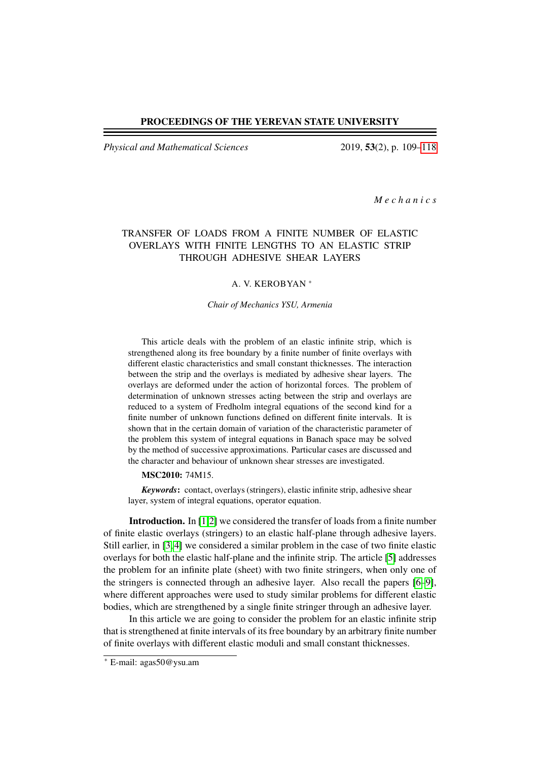### PROCEEDINGS OF THE YEREVAN STATE UNIVERSITY

*Physical and Mathematical Sciences* 2019, 53(2), p. 109[–118](#page-9-0)

*M e c h a n i c s*

## TRANSFER OF LOADS FROM A FINITE NUMBER OF ELASTIC OVERLAYS WITH FINITE LENGTHS TO AN ELASTIC STRIP THROUGH ADHESIVE SHEAR LAYERS

### A. V. KEROBYAN <sup>∗</sup>

*Chair of Mechanics YSU, Armenia*

This article deals with the problem of an elastic infinite strip, which is strengthened along its free boundary by a finite number of finite overlays with different elastic characteristics and small constant thicknesses. The interaction between the strip and the overlays is mediated by adhesive shear layers. The overlays are deformed under the action of horizontal forces. The problem of determination of unknown stresses acting between the strip and overlays are reduced to a system of Fredholm integral equations of the second kind for a finite number of unknown functions defined on different finite intervals. It is shown that in the certain domain of variation of the characteristic parameter of the problem this system of integral equations in Banach space may be solved by the method of successive approximations. Particular cases are discussed and the character and behaviour of unknown shear stresses are investigated.

### MSC2010: 74M15.

*Keywords*: contact, overlays (stringers), elastic infinite strip, adhesive shear layer, system of integral equations, operator equation.

Introduction. In [\[1,](#page-8-0)[2\]](#page-8-1) we considered the transfer of loads from a finite number of finite elastic overlays (stringers) to an elastic half-plane through adhesive layers. Still earlier, in [\[3,](#page-8-2) [4\]](#page-8-3) we considered a similar problem in the case of two finite elastic overlays for both the elastic half-plane and the infinite strip. The article [\[5\]](#page-8-4) addresses the problem for an infinite plate (sheet) with two finite stringers, when only one of the stringers is connected through an adhesive layer. Also recall the papers [\[6–](#page-8-5)[9\]](#page-8-6), where different approaches were used to study similar problems for different elastic bodies, which are strengthened by a single finite stringer through an adhesive layer.

In this article we are going to consider the problem for an elastic infinite strip that is strengthened at finite intervals of its free boundary by an arbitrary finite number of finite overlays with different elastic moduli and small constant thicknesses.

<sup>∗</sup> E-mail: agas50@ysu.am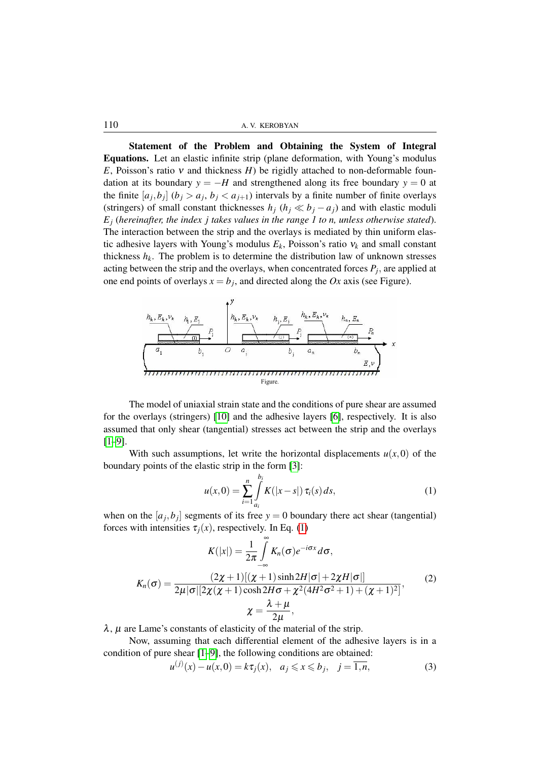110 A. V. KEROBYAN

Statement of the Problem and Obtaining the System of Integral Equations. Let an elastic infinite strip (plane deformation, with Young's modulus *E*, Poisson's ratio ν and thickness *H*) be rigidly attached to non-deformable foundation at its boundary  $y = -H$  and strengthened along its free boundary  $y = 0$  at the finite  $[a_j, b_j]$   $(b_j > a_j, b_j < a_{j+1})$  intervals by a finite number of finite overlays (stringers) of small constant thicknesses  $h_j$  ( $h_j \ll b_j - a_j$ ) and with elastic moduli *E<sup>j</sup>* (*hereinafter, the index j takes values in the range 1 to n, unless otherwise stated*). The interaction between the strip and the overlays is mediated by thin uniform elastic adhesive layers with Young's modulus  $E_k$ , Poisson's ratio  $v_k$  and small constant thickness  $h_k$ . The problem is to determine the distribution law of unknown stresses acting between the strip and the overlays, when concentrated forces  $P_j$ , are applied at one end points of overlays  $x = b_j$ , and directed along the *Ox* axis (see Figure).



The model of uniaxial strain state and the conditions of pure shear are assumed for the overlays (stringers) [\[10\]](#page-9-1) and the adhesive layers [\[6\]](#page-8-5), respectively. It is also assumed that only shear (tangential) stresses act between the strip and the overlays  $[1-9]$  $[1-9]$ .

With such assumptions, let write the horizontal displacements  $u(x,0)$  of the boundary points of the elastic strip in the form [\[3\]](#page-8-2):

<span id="page-1-0"></span>
$$
u(x,0) = \sum_{i=1}^{n} \int_{a_i}^{b_i} K(|x-s|) \,\tau_i(s) \, ds,\tag{1}
$$

when on the  $[a_j, b_j]$  segments of its free  $y = 0$  boundary there act shear (tangential) forces with intensities  $\tau_i(x)$ , respectively. In Eq. [\(1\)](#page-1-0)

<span id="page-1-2"></span>
$$
K(|x|) = \frac{1}{2\pi} \int_{-\infty}^{\infty} K_n(\sigma) e^{-i\sigma x} d\sigma,
$$
  
\n
$$
K_n(\sigma) = \frac{(2\chi + 1)[(\chi + 1)\sinh 2H|\sigma| + 2\chi H|\sigma|]}{2\mu |\sigma| [2\chi(\chi + 1)\cosh 2H\sigma + \chi^2(4H^2\sigma^2 + 1) + (\chi + 1)^2]},
$$
\n
$$
\chi = \frac{\lambda + \mu}{2\mu},
$$
\n(2)

 $\lambda$ ,  $\mu$  are Lame's constants of elasticity of the material of the strip.

Now, assuming that each differential element of the adhesive layers is in a condition of pure shear [\[1–](#page-8-0)[9\]](#page-8-6), the following conditions are obtained:

<span id="page-1-1"></span>
$$
u^{(j)}(x) - u(x,0) = k\tau_j(x), \quad a_j \le x \le b_j, \quad j = \overline{1,n},
$$
 (3)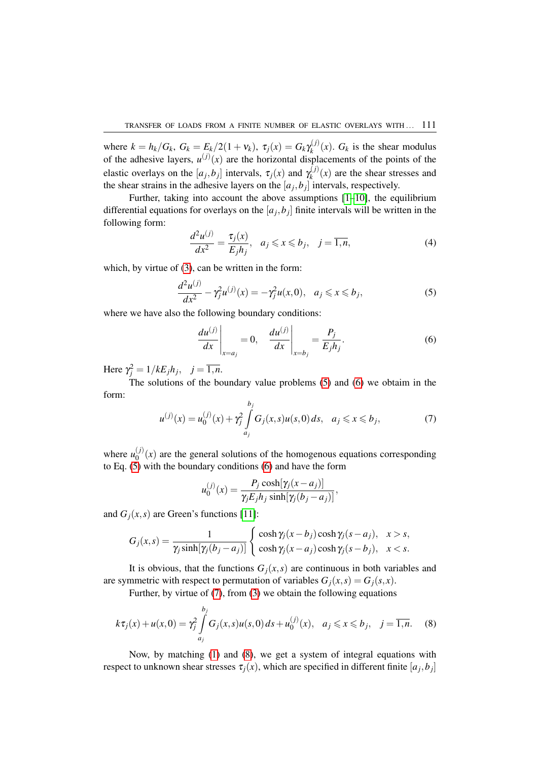where  $k = h_k/G_k$ ,  $G_k = E_k/2(1 + v_k)$ ,  $\tau_j(x) = G_k \gamma_k^{(j)}$  $f_k^{(J)}(x)$ .  $G_k$  is the shear modulus of the adhesive layers,  $u^{(j)}(x)$  are the horizontal displacements of the points of the elastic overlays on the  $[a_j, b_j]$  intervals,  $\tau_j(x)$  and  $\gamma_k^{(j)}$  $\chi_k^{(1)}(x)$  are the shear stresses and the shear strains in the adhesive layers on the  $[a_j, b_j]$  intervals, respectively.

Further, taking into account the above assumptions  $[1-10]$  $[1-10]$ , the equilibrium differential equations for overlays on the  $[a_j, b_j]$  finite intervals will be written in the following form:

$$
\frac{d^2u^{(j)}}{dx^2} = \frac{\tau_j(x)}{E_jh_j}, \quad a_j \leqslant x \leqslant b_j, \quad j = \overline{1,n},\tag{4}
$$

which, by virtue of [\(3\)](#page-1-1), can be written in the form:

<span id="page-2-0"></span>
$$
\frac{d^2u^{(j)}}{dx^2} - \gamma_j^2 u^{(j)}(x) = -\gamma_j^2 u(x,0), \ \ a_j \leq x \leq b_j,
$$
 (5)

where we have also the following boundary conditions:

<span id="page-2-1"></span>
$$
\left. \frac{du^{(j)}}{dx} \right|_{x=a_j} = 0, \quad \left. \frac{du^{(j)}}{dx} \right|_{x=b_j} = \frac{P_j}{E_j h_j}.
$$
\n<sup>(6)</sup>

Here  $\gamma_j^2 = 1/kE_j h_j$ ,  $j = \overline{1, n}$ .

The solutions of the boundary value problems [\(5\)](#page-2-0) and [\(6\)](#page-2-1) we obtaim in the form:

<span id="page-2-2"></span>
$$
u^{(j)}(x) = u_0^{(j)}(x) + \gamma_j^2 \int_{a_j}^{b_j} G_j(x, s) u(s, 0) ds, \quad a_j \le x \le b_j,
$$
 (7)

where  $u_0^{(j)}$  $\binom{0}{0}(x)$  are the general solutions of the homogenous equations corresponding to Eq. [\(5\)](#page-2-0) with the boundary conditions [\(6\)](#page-2-1) and have the form

$$
u_0^{(j)}(x) = \frac{P_j \cosh[\gamma_j(x-a_j)]}{\gamma_j E_j h_j \sinh[\gamma_j(b_j-a_j)]},
$$

and  $G_i(x, s)$  are Green's functions [\[11\]](#page-9-2):

$$
G_j(x,s) = \frac{1}{\gamma_j \sinh[\gamma_j(b_j - a_j)]} \begin{cases} \cosh \gamma_j(x - b_j) \cosh \gamma_j(s - a_j), & x > s, \\ \cosh \gamma_j(x - a_j) \cosh \gamma_j(s - b_j), & x < s. \end{cases}
$$

It is obvious, that the functions  $G_i(x, s)$  are continuous in both variables and are symmetric with respect to permutation of variables  $G_i(x, s) = G_i(s, x)$ .

Further, by virtue of [\(7\)](#page-2-2), from [\(3\)](#page-1-1) we obtain the following equations

<span id="page-2-3"></span>
$$
k\tau_j(x) + u(x,0) = \gamma_j^2 \int_{a_j}^{b_j} G_j(x,s)u(s,0) \, ds + u_0^{(j)}(x), \quad a_j \le x \le b_j, \quad j = \overline{1,n}. \tag{8}
$$

Now, by matching [\(1\)](#page-1-0) and [\(8\)](#page-2-3), we get a system of integral equations with respect to unknown shear stresses  $\tau_j(x)$ , which are specified in different finite  $[a_j, b_j]$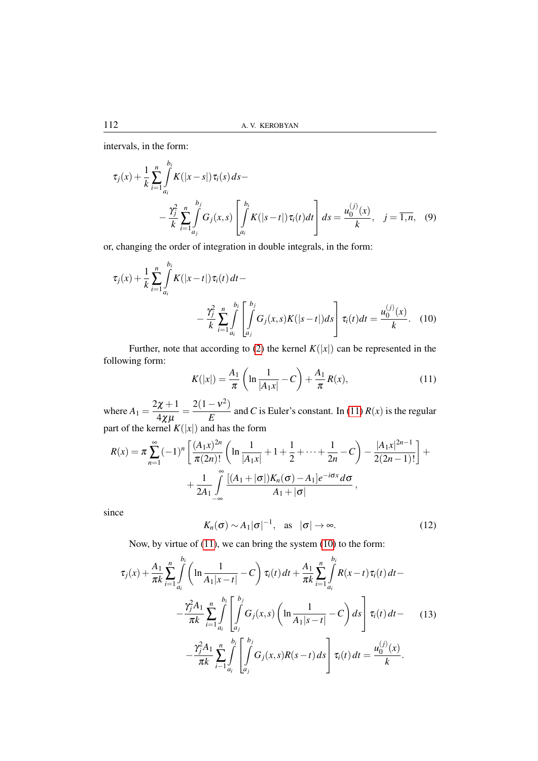intervals, in the form:

$$
\tau_j(x) + \frac{1}{k} \sum_{i=1}^n \int_{a_i}^{b_i} K(|x-s|) \tau_i(s) ds -
$$
  
 
$$
- \frac{\gamma_j^2}{k} \sum_{i=1}^n \int_{a_j}^{b_j} G_j(x, s) \left[ \int_{a_i}^{b_i} K(|s-t|) \tau_i(t) dt \right] ds = \frac{u_0^{(j)}(x)}{k}, \quad j = \overline{1, n}, \quad (9)
$$

or, changing the order of integration in double integrals, in the form:

$$
\tau_j(x) + \frac{1}{k} \sum_{i=1}^n \int_{a_i}^{b_i} K(|x-t|) \tau_i(t) dt - \frac{\gamma_j^2}{k} \sum_{i=1}^n \int_{a_i}^{b_i} \left[ \int_{a_j}^{b_j} G_j(x, s) K(|s-t|) ds \right] \tau_i(t) dt = \frac{u_0^{(j)}(x)}{k}.
$$
 (10)

Further, note that according to [\(2\)](#page-1-2) the kernel  $K(|x|)$  can be represented in the following form:

<span id="page-3-1"></span><span id="page-3-0"></span>
$$
K(|x|) = \frac{A_1}{\pi} \left( \ln \frac{1}{|A_1 x|} - C \right) + \frac{A_1}{\pi} R(x),\tag{11}
$$

where  $A_1 = \frac{2\chi + 1}{4\chi}$  $\frac{2x+1}{4\chi\mu} = \frac{2(1-\nu^2)}{E}$  $\frac{E}{E}$  and *C* is Euler's constant. In [\(11\)](#page-3-0) *R*(*x*) is the regular part of the kernel  $K(|x|)$  and has the form

$$
R(x) = \pi \sum_{n=1}^{\infty} (-1)^n \left[ \frac{(A_1 x)^{2n}}{\pi (2n)!} \left( \ln \frac{1}{|A_1 x|} + 1 + \frac{1}{2} + \dots + \frac{1}{2n} - C \right) - \frac{|A_1 x|^{2n-1}}{2(2n-1)!} \right] + \frac{1}{2A_1} \int_{-\infty}^{\infty} \frac{|(A_1 + |\sigma|)K_n(\sigma) - A_1|e^{-i\sigma x} d\sigma}{A_1 + |\sigma|},
$$

since

$$
K_n(\sigma) \sim A_1 |\sigma|^{-1}
$$
, as  $|\sigma| \to \infty$ . (12)

Now, by virtue of [\(11\)](#page-3-0), we can bring the system [\(10\)](#page-3-1) to the form:

<span id="page-3-2"></span>
$$
\tau_j(x) + \frac{A_1}{\pi k} \sum_{i=1}^n \int_{a_i}^{b_i} \left( \ln \frac{1}{A_1 |x - t|} - C \right) \tau_i(t) dt + \frac{A_1}{\pi k} \sum_{i=1}^n \int_{a_i}^{b_i} R(x - t) \tau_i(t) dt - \frac{\gamma_j^2 A_1}{\pi k} \sum_{i=1}^n \int_{a_i}^{b_i} \left[ \int_{a_j}^{b_j} G_j(x, s) \left( \ln \frac{1}{A_1 |s - t|} - C \right) ds \right] \tau_i(t) dt - \frac{\gamma_j^2 A_1}{\pi k} \sum_{i=1}^n \int_{a_i}^{b_i} \left[ \int_{a_j}^{b_j} G_j(x, s) R(s - t) ds \right] \tau_i(t) dt = \frac{u_0^{(j)}(x)}{k}.
$$
 (13)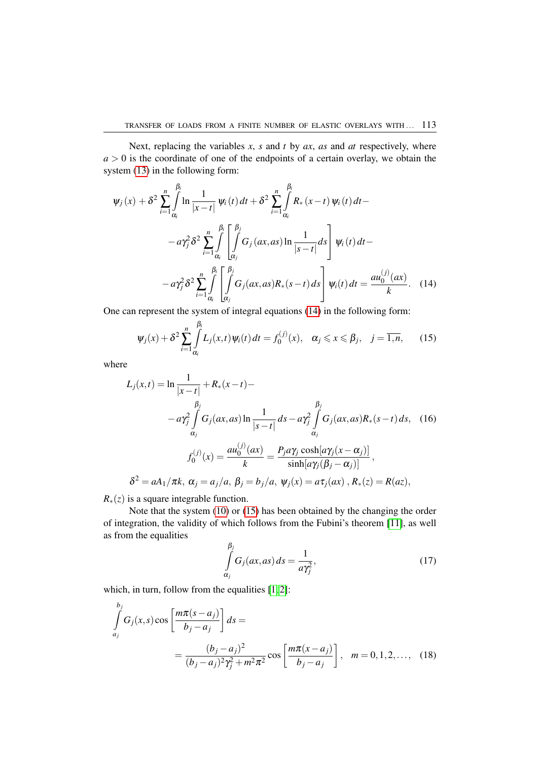Next, replacing the variables  $x$ ,  $s$  and  $t$  by  $ax$ ,  $as$  and  $at$  respectively, where  $a > 0$  is the coordinate of one of the endpoints of a certain overlay, we obtain the system [\(13\)](#page-3-2) in the following form:

$$
\psi_{j}(x) + \delta^{2} \sum_{i=1}^{n} \int_{\alpha_{i}}^{\beta_{i}} \ln \frac{1}{|x - t|} \psi_{i}(t) dt + \delta^{2} \sum_{i=1}^{n} \int_{\alpha_{i}}^{\beta_{i}} R_{*}(x - t) \psi_{i}(t) dt -
$$

$$
- a \gamma_{j}^{2} \delta^{2} \sum_{i=1}^{n} \int_{\alpha_{i}}^{\beta_{i}} \left[ \int_{\alpha_{j}}^{\beta_{j}} G_{j}(ax, as) \ln \frac{1}{|s - t|} ds \right] \psi_{i}(t) dt -
$$

$$
- a \gamma_{j}^{2} \delta^{2} \sum_{i=1}^{n} \int_{\alpha_{i}}^{\beta_{i}} \left[ \int_{\alpha_{j}}^{\beta_{j}} G_{j}(ax, as) R_{*}(s - t) ds \right] \psi_{i}(t) dt = \frac{a u_{0}^{(j)}(ax)}{k}.
$$
(14)

One can represent the system of integral equations [\(14\)](#page-4-0) in the following form:

<span id="page-4-1"></span><span id="page-4-0"></span>
$$
\psi_j(x) + \delta^2 \sum_{i=1}^n \int_{\alpha_i}^{\beta_i} L_j(x, t) \psi_i(t) dt = f_0^{(j)}(x), \quad \alpha_j \leqslant x \leqslant \beta_j, \quad j = \overline{1, n}, \qquad (15)
$$

where

$$
L_j(x,t) = \ln \frac{1}{|x-t|} + R_*(x-t) -
$$
  
\n
$$
\beta_j
$$
\n
$$
-a\gamma_j^2 \int_{\alpha_j}^{\beta_j} G_j(ax, as) \ln \frac{1}{|s-t|} ds - a\gamma_j^2 \int_{\alpha_j}^{\beta_j} G_j(ax, as) R_*(s-t) ds, \quad (16)
$$
\n
$$
f_0^{(j)}(x) = \frac{a u_0^{(j)}(ax)}{k} = \frac{P_j a \gamma_j \cosh[a\gamma_j(x-\alpha_j)]}{\sinh[a\gamma_j(\beta_j-\alpha_j)]},
$$
\n
$$
\delta^2 = aA_1/\pi k, \ \alpha_j = a_j/a, \ \beta_j = b_j/a, \ \psi_j(x) = a\tau_j(ax), \ R_*(z) = R(az),
$$

*R*<sup>∗</sup>(*z*) is a square integrable function.

Note that the system [\(10\)](#page-3-1) or [\(15\)](#page-4-1) has been obtained by the changing the order of integration, the validity of which follows from the Fubini's theorem [\[11\]](#page-9-2), as well as from the equalities

<span id="page-4-2"></span>
$$
\int_{\alpha_j}^{\beta_j} G_j(ax, as) ds = \frac{1}{a\gamma_j^2},
$$
\n(17)

which, in turn, follow from the equalities  $[1, 2]$  $[1, 2]$ :

$$
\int_{a_j}^{b_j} G_j(x, s) \cos \left[ \frac{m \pi (s - a_j)}{b_j - a_j} \right] ds =
$$
\n
$$
= \frac{(b_j - a_j)^2}{(b_j - a_j)^2 \gamma_j^2 + m^2 \pi^2} \cos \left[ \frac{m \pi (x - a_j)}{b_j - a_j} \right], \quad m = 0, 1, 2, \dots, \quad (18)
$$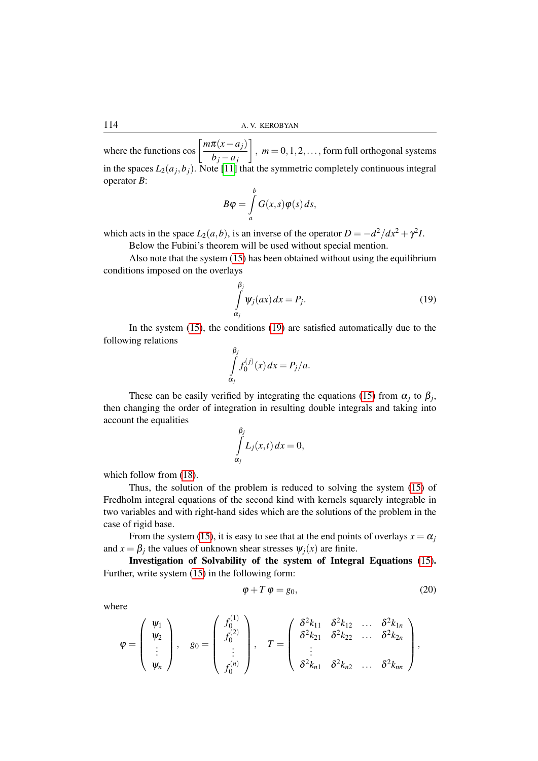where the functions  $\cos \left[\frac{m\pi(x-a_j)}{l}\right]$ *b<sup>j</sup>* −*a<sup>j</sup>*  $\Big]$ ,  $m = 0, 1, 2, \ldots$ , form full orthogonal systems in the spaces  $L_2(a_j, b_j)$ . Note [\[11\]](#page-9-2) that the symmetric completely continuous integral operator *B*:

$$
B\varphi = \int\limits_a^b G(x,s)\varphi(s)\,ds,
$$

which acts in the space  $L_2(a,b)$ , is an inverse of the operator  $D = -d^2/dx^2 + \gamma^2 I$ . Below the Fubini's theorem will be used without special mention.

Also note that the system [\(15\)](#page-4-1) has been obtained without using the equilibrium conditions imposed on the overlays

<span id="page-5-0"></span>
$$
\int_{\alpha_j}^{\beta_j} \psi_j(ax) dx = P_j.
$$
\n(19)

In the system [\(15\)](#page-4-1), the conditions [\(19\)](#page-5-0) are satisfied automatically due to the following relations

$$
\int_{\alpha_j}^{\beta_j} f_0^{(j)}(x) dx = P_j/a.
$$

These can be easily verified by integrating the equations [\(15\)](#page-4-1) from  $\alpha_j$  to  $\beta_j$ , then changing the order of integration in resulting double integrals and taking into account the equalities

$$
\int_{\alpha_j}^{\beta_j} L_j(x,t) \, dx = 0,
$$

which follow from  $(18)$ .

Thus, the solution of the problem is reduced to solving the system [\(15\)](#page-4-1) of Fredholm integral equations of the second kind with kernels squarely integrable in two variables and with right-hand sides which are the solutions of the problem in the case of rigid base.

From the system [\(15\)](#page-4-1), it is easy to see that at the end points of overlays  $x = \alpha_j$ and  $x = \beta_j$  the values of unknown shear stresses  $\psi_j(x)$  are finite.

Investigation of Solvability of the system of Integral Equations [\(15\)](#page-4-1). Further, write system [\(15\)](#page-4-1) in the following form:

<span id="page-5-1"></span>
$$
\varphi + T \varphi = g_0,\tag{20}
$$

where

$$
\varphi = \left(\begin{array}{c} \psi_1 \\ \psi_2 \\ \vdots \\ \psi_n \end{array}\right), \quad g_0 = \left(\begin{array}{c} f_0^{(1)} \\ f_0^{(2)} \\ \vdots \\ f_0^{(n)} \end{array}\right), \quad T = \left(\begin{array}{ccc} \delta^2 k_{11} & \delta^2 k_{12} & \dots & \delta^2 k_{1n} \\ \delta^2 k_{21} & \delta^2 k_{22} & \dots & \delta^2 k_{2n} \\ \vdots & & & \\ \delta^2 k_{n1} & \delta^2 k_{n2} & \dots & \delta^2 k_{nn} \end{array}\right),
$$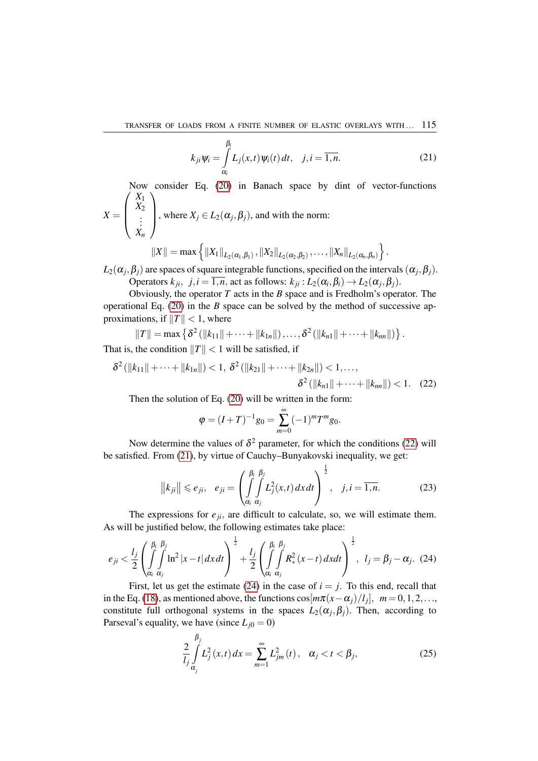<span id="page-6-1"></span>
$$
k_{ji}\psi_i = \int\limits_{\alpha_i}^{\beta_i} L_j(x,t)\psi_i(t) dt, \quad j, i = \overline{1,n}.
$$
 (21)

Now consider Eq. [\(20\)](#page-5-1) in Banach space by dint of vector-functions  $\left( X_1 \right)$ 

$$
X = \begin{pmatrix} X_2 \\ \vdots \\ X_n \end{pmatrix}
$$
, where  $X_j \in L_2(\alpha_j, \beta_j)$ , and with the norm:  

$$
\| \mathbf{V} \|_{\mathbf{V}} \leq \|\mathbf{V}\|_{\mathbf{V}} \leq \|\mathbf{V}\|_{\mathbf{V}} \leq \|\mathbf{V}\|_{\mathbf{V}} \leq \|\mathbf{V}\|_{\mathbf{V}} \leq \|\mathbf{V}\|_{\mathbf{V}} \leq \|\mathbf{V}\|_{\mathbf{V}} \leq \|\mathbf{V}\|_{\mathbf{V}} \leq \|\mathbf{V}\|_{\mathbf{V}} \leq \|\mathbf{V}\|_{\mathbf{V}} \leq \|\mathbf{V}\|_{\mathbf{V}} \leq \|\mathbf{V}\|_{\mathbf{V}} \leq \|\mathbf{V}\|_{\mathbf{V}} \leq \|\mathbf{V}\|_{\mathbf{V}} \leq \|\mathbf{V}\|_{\mathbf{V}} \leq \|\mathbf{V}\|_{\mathbf{V}} \leq \|\mathbf{V}\|_{\mathbf{V}} \leq \|\mathbf{V}\|_{\mathbf{V}} \leq \|\mathbf{V}\|_{\mathbf{V}} \leq \|\mathbf{V}\|_{\mathbf{V}} \leq \|\mathbf{V}\|_{\mathbf{V}} \leq \|\mathbf{V}\|_{\mathbf{V}} \leq \|\mathbf{V}\|_{\mathbf{V}} \leq \|\mathbf{V}\|_{\mathbf{V}} \leq \|\mathbf{V}\|_{\mathbf{V}} \leq \|\mathbf{V}\|_{\mathbf{V}} \leq \|\mathbf{V}\|_{\mathbf{V}} \leq \|\mathbf{V}\|_{\mathbf{V}} \leq \|\mathbf{V}\|_{\mathbf{V}} \leq \|\mathbf{V}\|_{\mathbf{V}} \leq \|\mathbf{V}\|_{\mathbf{V}} \leq \|\mathbf{V}\|_{\mathbf{V}} \leq \|\mathbf{V}\|_{\mathbf{V}} \leq \|\mathbf{V}\|_{\mathbf{V}} \leq \|\mathbf{V}\|_{\mathbf{V}} \leq \|\mathbf{V}\|_{\mathbf{V}} \leq \|\mathbf{V}\|_{\mathbf{V}} \leq \|\mathbf{V}\|_{\mathbf{V}} \leq \|\mathbf{V}\|_{\mathbf{V}} \le
$$

$$
||X|| = \max \left\{ ||X_1||_{L_2(\alpha_1,\beta_1)}, ||X_2||_{L_2(\alpha_2,\beta_2)}, \ldots, ||X_n||_{L_2(\alpha_n,\beta_n)} \right\}.
$$

 $L_2(\alpha_j, \beta_j)$  are spaces of square integrable functions, specified on the intervals  $(\alpha_j, \beta_j)$ . Operators  $k_{ji}$ ,  $j, i = 1, n$ , act as follows:  $k_{ji}$  :  $L_2(\alpha_i, \beta_i) \rightarrow L_2(\alpha_j, \beta_j)$ .

Obviously, the operator *T* acts in the *B* space and is Fredholm's operator. The operational Eq. [\(20\)](#page-5-1) in the *B* space can be solved by the method of successive approximations, if  $||T|| < 1$ , where

$$
||T|| = \max \left\{ \delta^2 \left( ||k_{11}|| + \cdots + ||k_{1n}|| \right), \ldots, \delta^2 \left( ||k_{n1}|| + \cdots + ||k_{nn}|| \right) \right\}.
$$

That is, the condition  $||T|| < 1$  will be satisfied, if

$$
\delta^2(||k_{11}|| + \cdots + ||k_{1n}||) < 1, \ \delta^2(||k_{21}|| + \cdots + ||k_{2n}||) < 1, \ldots, \n\delta^2(||k_{n1}|| + \cdots + ||k_{nn}||) < 1. \tag{22}
$$

Then the solution of Eq. [\(20\)](#page-5-1) will be written in the form:

<span id="page-6-0"></span>
$$
\varphi = (I+T)^{-1}g_0 = \sum_{m=0}^{\infty} (-1)^m T^m g_0.
$$

Now determine the values of  $\delta^2$  parameter, for which the conditions [\(22\)](#page-6-0) will be satisfied. From [\(21\)](#page-6-1), by virtue of Cauchy–Bunyakovski inequality, we get:

$$
\|k_{ji}\| \leqslant e_{ji}, \quad e_{ji} = \left(\int\limits_{\alpha_i}^{\beta_i} \int\limits_{\alpha_j}^{\beta_j} L_j^2(x,t) \, dx \, dt\right)^{\frac{1}{2}}, \quad j, i = \overline{1, n}.\tag{23}
$$

The expressions for  $e_{ji}$ , are difficult to calculate, so, we will estimate them. As will be justified below, the following estimates take place:

<span id="page-6-2"></span>
$$
e_{ji} < \frac{l_j}{2} \left( \int\limits_{\alpha_i}^{\beta_i} \int\limits_{\alpha_j}^{\beta_j} \ln^2 |x - t| \, dx \, dt \right)^{\frac{1}{2}} + \frac{l_j}{2} \left( \int\limits_{\alpha_i}^{\beta_i} \int\limits_{\alpha_j}^{\beta_j} R_*^2(x - t) \, dx \, dt \right)^{\frac{1}{2}}, \quad l_j = \beta_j - \alpha_j. \tag{24}
$$

First, let us get the estimate [\(24\)](#page-6-2) in the case of  $i = j$ . To this end, recall that in the Eq. [\(18\)](#page-4-2), as mentioned above, the functions  $\cos[m\pi(x-\alpha_j)/l_j]$ ,  $m=0,1,2,...$ constitute full orthogonal systems in the spaces  $L_2(\alpha_j, \beta_j)$ . Then, according to Parseval's equality, we have (since  $L_{j0} = 0$ )

$$
\frac{2}{l_j} \int_{\alpha_j}^{\beta_j} L_j^2(x, t) dx = \sum_{m=1}^{\infty} L_{jm}^2(t), \quad \alpha_j < t < \beta_j,
$$
 (25)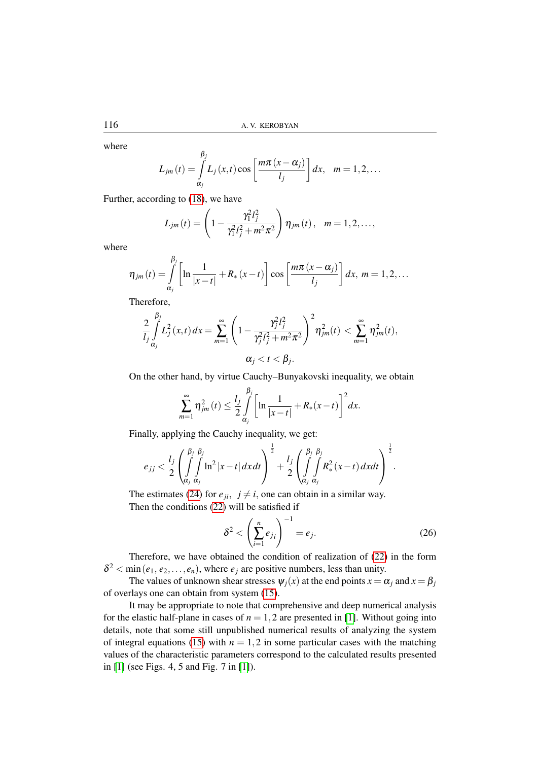where

$$
L_{jm}(t) = \int_{\alpha_j}^{\beta_j} L_j(x,t) \cos \left[\frac{m\pi (x-\alpha_j)}{l_j}\right] dx, \quad m = 1, 2, ...
$$

Further, according to [\(18\)](#page-4-2), we have

$$
L_{jm}(t) = \left(1 - \frac{\gamma_1^2 l_j^2}{\gamma_1^2 l_j^2 + m^2 \pi^2}\right) \eta_{jm}(t), \quad m = 1, 2, \ldots,
$$

where

$$
\eta_{jm}(t) = \int\limits_{\alpha_j}^{\beta_j} \left[ \ln \frac{1}{|x-t|} + R_*(x-t) \right] \cos \left[ \frac{m\pi (x-\alpha_j)}{l_j} \right] dx, \ m = 1, 2, \ldots
$$

Therefore,

$$
\frac{2}{l_j}\int_{\alpha_j}^{\beta_j}L_j^2(x,t)\,dx = \sum_{m=1}^{\infty}\left(1-\frac{\gamma_j^2l_j^2}{\gamma_j^2l_j^2+m^2\pi^2}\right)^2\eta_{jm}^2(t) < \sum_{m=1}^{\infty}\eta_{jm}^2(t),\\ \alpha_j < t < \beta_j.
$$

On the other hand, by virtue Cauchy–Bunyakovski inequality, we obtain

$$
\sum_{m=1}^{\infty} \eta_{jm}^2(t) \le \frac{l_j}{2} \int_{\alpha_j}^{\beta_j} \left[ \ln \frac{1}{|x-t|} + R_*(x-t) \right]^2 dx.
$$

Finally, applying the Cauchy inequality, we get:

$$
e_{jj} < \frac{l_j}{2} \left( \int\limits_{\alpha_j}^{\beta_j} \int\limits_{\alpha_j}^{\beta_j} \ln^2 |x - t| \, dx \, dt \right)^{\frac{1}{2}} + \frac{l_j}{2} \left( \int\limits_{\alpha_j}^{\beta_j} \int\limits_{\alpha_j}^{\beta_j} R_*^2(x - t) \, dx \, dt \right)^{\frac{1}{2}}.
$$

The estimates [\(24\)](#page-6-2) for  $e_{ji}$ ,  $j \neq i$ , one can obtain in a similar way. Then the conditions [\(22\)](#page-6-0) will be satisfied if

$$
\delta^2 < \left(\sum_{i=1}^n e_{j_i}\right)^{-1} = e_j. \tag{26}
$$

Therefore, we have obtained the condition of realization of [\(22\)](#page-6-0) in the form  $\delta^2$  < min (*e*<sub>1</sub>, *e*<sub>2</sub>,...,*e*<sub>*n*</sub>), where *e*<sub>*j*</sub> are positive numbers, less than unity.

The values of unknown shear stresses  $\psi_i(x)$  at the end points  $x = \alpha_i$  and  $x = \beta_i$ of overlays one can obtain from system [\(15\)](#page-4-1).

It may be appropriate to note that comprehensive and deep numerical analysis for the elastic half-plane in cases of  $n = 1, 2$  are presented in [\[1\]](#page-8-0). Without going into details, note that some still unpublished numerical results of analyzing the system of integral equations [\(15\)](#page-4-1) with  $n = 1, 2$  in some particular cases with the matching values of the characteristic parameters correspond to the calculated results presented in [\[1\]](#page-8-0) (see Figs. 4, 5 and Fig. 7 in [\[1\]](#page-8-0)).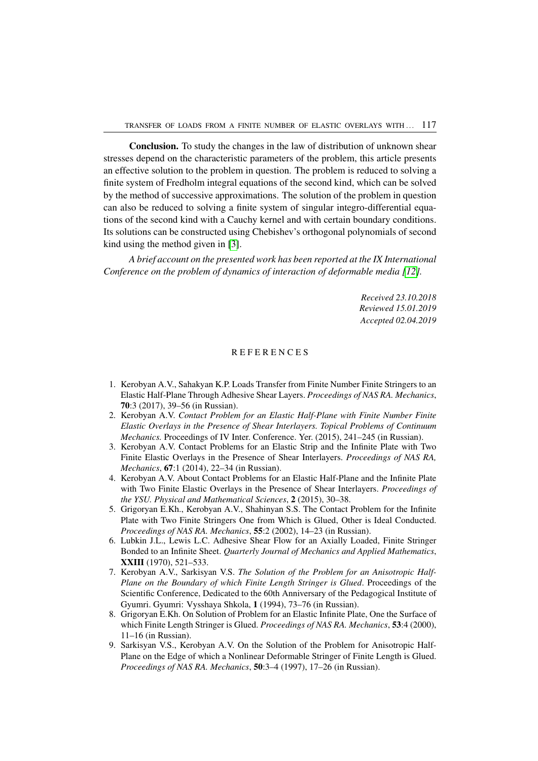Conclusion. To study the changes in the law of distribution of unknown shear stresses depend on the characteristic parameters of the problem, this article presents an effective solution to the problem in question. The problem is reduced to solving a finite system of Fredholm integral equations of the second kind, which can be solved by the method of successive approximations. The solution of the problem in question can also be reduced to solving a finite system of singular integro-differential equations of the second kind with a Cauchy kernel and with certain boundary conditions. Its solutions can be constructed using Chebishev's orthogonal polynomials of second kind using the method given in [\[3\]](#page-8-2).

*A brief account on the presented work has been reported at the IX International Conference on the problem of dynamics of interaction of deformable media [\[12\]](#page-9-3).*

> *Received 23.10.2018 Reviewed 15.01.2019 Accepted 02.04.2019*

#### **REFERENCES**

- <span id="page-8-0"></span>1. Kerobyan A.V., Sahakyan K.P. Loads Transfer from Finite Number Finite Stringers to an Elastic Half-Plane Through Adhesive Shear Layers. *Proceedings of NAS RA. Mechanics*, 70:3 (2017), 39–56 (in Russian).
- <span id="page-8-1"></span>2. Kerobyan A.V. *Contact Problem for an Elastic Half-Plane with Finite Number Finite Elastic Overlays in the Presence of Shear Interlayers. Topical Problems of Continuum Mechanics.* Proceedings of IV Inter. Conference. Yer. (2015), 241–245 (in Russian).
- <span id="page-8-2"></span>3. Kerobyan A.V. Contact Problems for an Elastic Strip and the Infinite Plate with Two Finite Elastic Overlays in the Presence of Shear Interlayers. *Proceedings of NAS RA, Mechanics*, 67:1 (2014), 22–34 (in Russian).
- <span id="page-8-3"></span>4. Kerobyan A.V. About Contact Problems for an Elastic Half-Plane and the Infinite Plate with Two Finite Elastic Overlays in the Presence of Shear Interlayers. *Proceedings of the YSU. Physical and Mathematical Sciences*, 2 (2015), 30–38.
- <span id="page-8-4"></span>5. Grigoryan E.Kh., Kerobyan A.V., Shahinyan S.S. The Contact Problem for the Infinite Plate with Two Finite Stringers One from Which is Glued, Other is Ideal Conducted. *Proceedings of NAS RA. Mechanics*, 55:2 (2002), 14–23 (in Russian).
- <span id="page-8-5"></span>6. Lubkin J.L., Lewis L.C. Adhesive Shear Flow for an Axially Loaded, Finite Stringer Bonded to an Infinite Sheet. *Quarterly Journal of Mechanics and Applied Mathematics*, XXIII (1970), 521–533.
- 7. Kerobyan A.V., Sarkisyan V.S. *The Solution of the Problem for an Anisotropic Half-Plane on the Boundary of which Finite Length Stringer is Glued*. Proceedings of the Scientific Conference, Dedicated to the 60th Anniversary of the Pedagogical Institute of Gyumri. Gyumri: Vysshaya Shkola, 1 (1994), 73–76 (in Russian).
- 8. Grigoryan E.Kh. On Solution of Problem for an Elastic Infinite Plate, One the Surface of which Finite Length Stringer is Glued. *Proceedings of NAS RA. Mechanics*, 53:4 (2000), 11–16 (in Russian).
- <span id="page-8-6"></span>9. Sarkisyan V.S., Kerobyan A.V. On the Solution of the Problem for Anisotropic Half-Plane on the Edge of which a Nonlinear Deformable Stringer of Finite Length is Glued. *Proceedings of NAS RA. Mechanics*, 50:3–4 (1997), 17–26 (in Russian).